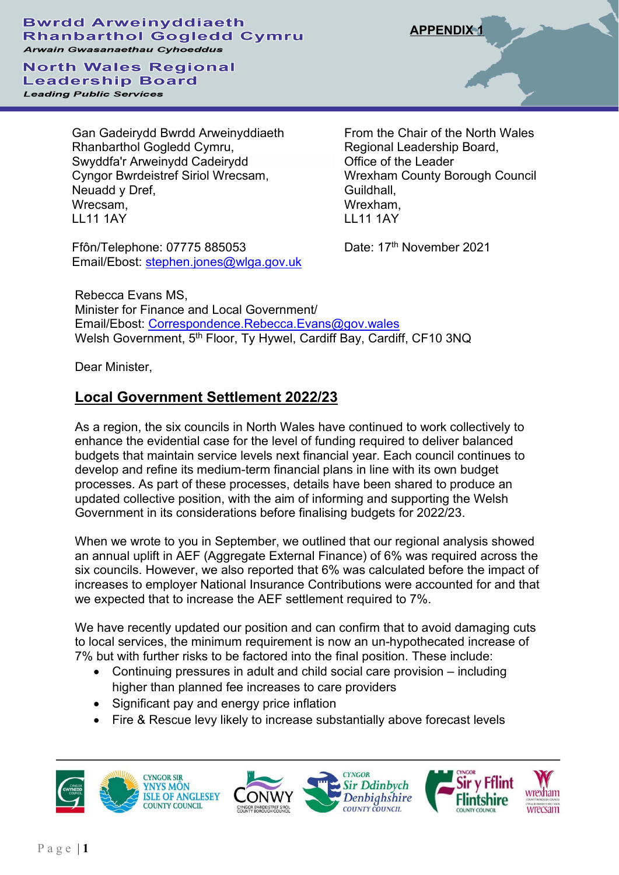## **Bwrdd Arweinyddiaeth Rhanbarthol Gogledd Cymru Arwain Gwasanaethau Cyhoeddus**

**North Wales Regional Leadership Board Leading Public Services** 

> Gan Gadeirydd Bwrdd Arweinyddiaeth Rhanbarthol Gogledd Cymru, Swyddfa'r Arweinydd Cadeirydd Cyngor Bwrdeistref Siriol Wrecsam, Neuadd y Dref, Wrecsam, LL11 1AY

Ffôn/Telephone: 07775 885053 Email/Ebost: [stephen.jones@wlga.gov.uk](mailto:stephen.jones@wlga.gov.uk)

From the Chair of the North Wales Regional Leadership Board, Office of the Leader Wrexham County Borough Council Guildhall, Wrexham, LL11 1AY

Date: 17<sup>th</sup> November 2021

Rebecca Evans MS, Minister for Finance and Local Government/ Email/Ebost: [Correspondence.Rebecca.Evans@gov.wales](mailto:Correspondence.Rebecca.Evans@gov.wales)  Welsh Government, 5<sup>th</sup> Floor, Ty Hywel, Cardiff Bay, Cardiff, CF10 3NQ

Dear Minister,

## **Local Government Settlement 2022/23**

As a region, the six councils in North Wales have continued to work collectively to enhance the evidential case for the level of funding required to deliver balanced budgets that maintain service levels next financial year. Each council continues to develop and refine its medium-term financial plans in line with its own budget processes. As part of these processes, details have been shared to produce an updated collective position, with the aim of informing and supporting the Welsh Government in its considerations before finalising budgets for 2022/23.

When we wrote to you in September, we outlined that our regional analysis showed an annual uplift in AEF (Aggregate External Finance) of 6% was required across the six councils. However, we also reported that 6% was calculated before the impact of increases to employer National Insurance Contributions were accounted for and that we expected that to increase the AEF settlement required to 7%.

We have recently updated our position and can confirm that to avoid damaging cuts to local services, the minimum requirement is now an un-hypothecated increase of 7% but with further risks to be factored into the final position. These include:

- Continuing pressures in adult and child social care provision including higher than planned fee increases to care providers
- Significant pay and energy price inflation
- Fire & Rescue levy likely to increase substantially above forecast levels









**APPENDIX 1**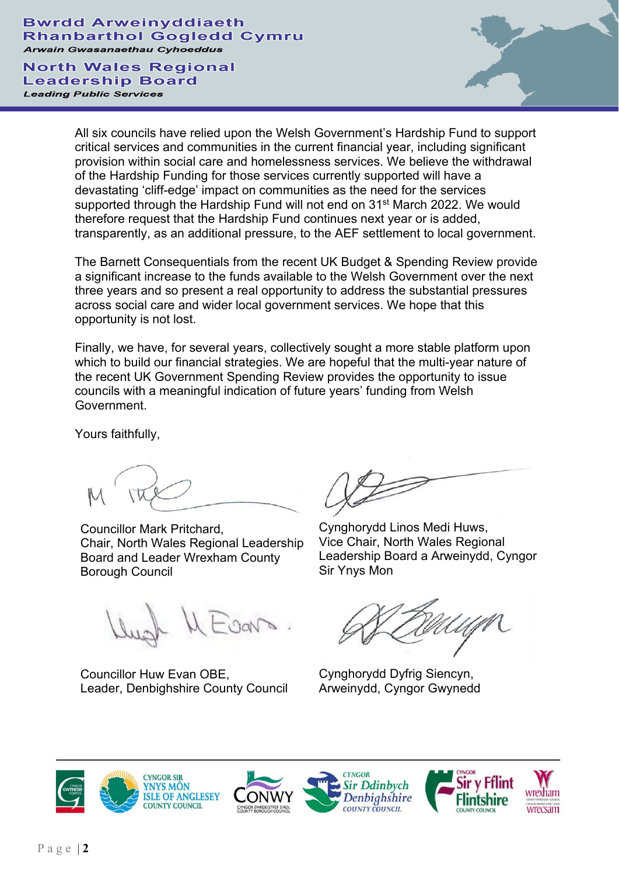**Bwrdd Arweinyddiaeth Rhanbarthol Gogledd Cymru Arwain Gwasanaethau Cyhoeddus** 

**North Wales Regional Leadership Board Leading Public Services** 

All six councils have relied upon the Welsh Government's Hardship Fund to support critical services and communities in the current financial year, including significant provision within social care and homelessness services. We believe the withdrawal of the Hardship Funding for those services currently supported will have a devastating 'cliff-edge' impact on communities as the need for the services supported through the Hardship Fund will not end on 31<sup>st</sup> March 2022. We would therefore request that the Hardship Fund continues next year or is added, transparently, as an additional pressure, to the AEF settlement to local government.

The Barnett Consequentials from the recent UK Budget & Spending Review provide a significant increase to the funds available to the Welsh Government over the next three years and so present a real opportunity to address the substantial pressures across social care and wider local government services. We hope that this opportunity is not lost.

Finally, we have, for several years, collectively sought a more stable platform upon which to build our financial strategies. We are hopeful that the multi-year nature of the recent UK Government Spending Review provides the opportunity to issue councils with a meaningful indication of future years' funding from Welsh Government.

Yours faithfully,

Councillor Mark Pritchard, Chair, North Wales Regional Leadership Board and Leader Wrexham County Borough Council

Leadership Board a Arweinydd, Cyngor Sir Ynys Mon

Cynghorydd Linos Medi Huws, Vice Chair, North Wales Regional

Cynghorydd Dyfrig Siencyn, Arweinydd, Cyngor Gwynedd



Councillor Huw Evan OBE,

Leader, Denbighshire County Council